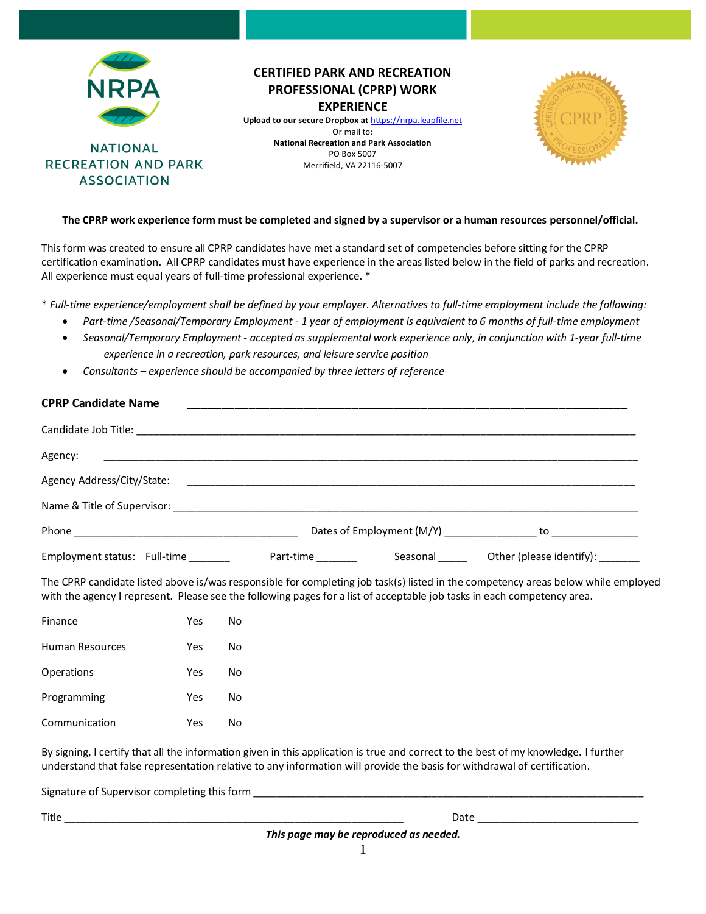

# **CERTIFIED PARK AND RECREATION PROFESSIONAL (CPRP) WORK EXPERIENCE**

**Upload to our secure Dropbox at** [https://nrpa.leapfile.net](https://clicktime.symantec.com/352H5mchJL2yqnc78sGyhTy7Vc?u=https%3A%2F%2Fnrpa.leapfile.net) Or mail to: **National Recreation and Park Association** PO Box 5007 Merrifield, VA 22116-5007



### **The CPRP work experience form must be completed and signed by a supervisor or a human resources personnel/official.**

This form was created to ensure all CPRP candidates have met a standard set of competencies before sitting for the CPRP certification examination. All CPRP candidates must have experience in the areas listed below in the field of parks and recreation. All experience must equal years of full-time professional experience. \*

\* *Full-time experience/employment shall be defined by your employer. Alternatives to full-time employment include the following:* 

- *Part-time /Seasonal/Temporary Employment - 1 year of employment is equivalent to 6 months of full-time employment*
- *Seasonal/Temporary Employment - accepted as supplemental work experience only, in conjunction with 1-year full-time experience in a recreation, park resources, and leisure service position*
- *Consultants – experience should be accompanied by three letters of reference*

| <b>CPRP Candidate Name</b>                                                                                     |           |          |                                 |
|----------------------------------------------------------------------------------------------------------------|-----------|----------|---------------------------------|
|                                                                                                                |           |          |                                 |
| Agency:                                                                                                        |           |          |                                 |
| Agency Address/City/State: Cambridge Control and Control and Control and Control and Control and Control and C |           |          |                                 |
|                                                                                                                |           |          |                                 |
|                                                                                                                |           |          |                                 |
| Employment status: Full-time                                                                                   | Part-time | Seasonal | Other (please identify): ______ |

The CPRP candidate listed above is/was responsible for completing job task(s) listed in the competency areas below while employed with the agency I represent. Please see the following pages for a list of acceptable job tasks in each competency area.

| Finance         | Yes | N٥ |
|-----------------|-----|----|
| Human Resources | Yes | No |
| Operations      | Yes | N٥ |
| Programming     | Yes | N٥ |
| Communication   | Yes | N٥ |

By signing, I certify that all the information given in this application is true and correct to the best of my knowledge. I further understand that false representation relative to any information will provide the basis for withdrawal of certification.

Signature of Supervisor completing this form

Title \_\_\_\_\_\_\_\_\_\_\_\_\_\_\_\_\_\_\_\_\_\_\_\_\_\_\_\_\_\_\_\_\_\_\_\_\_\_\_\_\_\_\_\_\_\_\_\_\_\_\_\_\_\_\_\_\_\_\_ Date \_\_\_\_\_\_\_\_\_\_\_\_\_\_\_\_\_\_\_\_\_\_\_\_\_\_\_\_

1 *This page may be reproduced as needed.*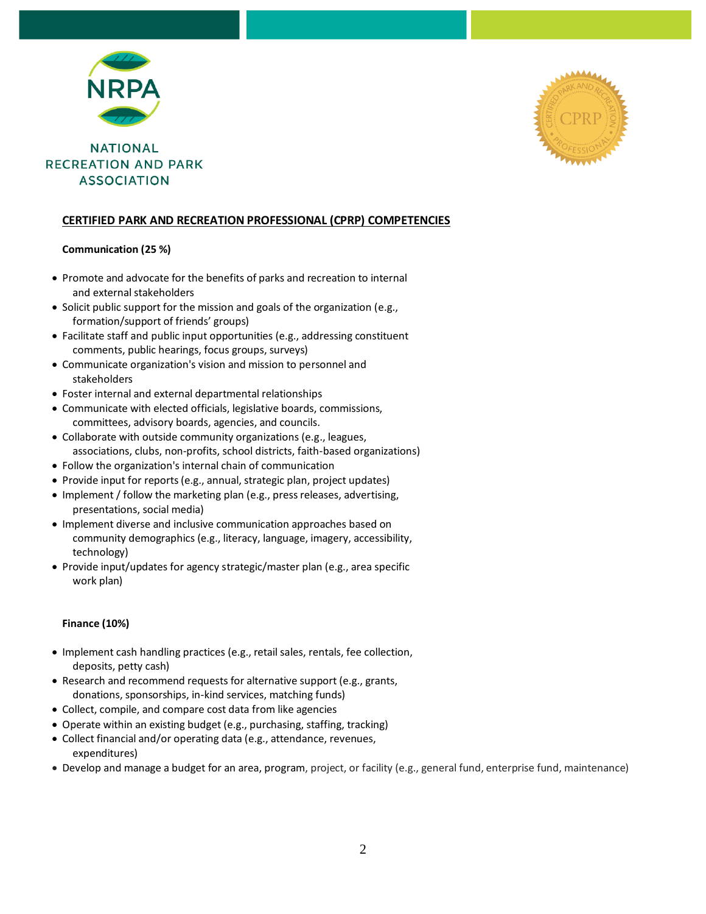



### **CERTIFIED PARK AND RECREATION PROFESSIONAL (CPRP) COMPETENCIES**

### **Communication (25 %)**

- Promote and advocate for the benefits of parks and recreation to internal and external stakeholders
- Solicit public support for the mission and goals of the organization (e.g., formation/support of friends' groups)
- Facilitate staff and public input opportunities (e.g., addressing constituent comments, public hearings, focus groups, surveys)
- Communicate organization's vision and mission to personnel and stakeholders
- Foster internal and external departmental relationships
- Communicate with elected officials, legislative boards, commissions, committees, advisory boards, agencies, and councils.
- Collaborate with outside community organizations (e.g., leagues, associations, clubs, non-profits, school districts, faith-based organizations)
- Follow the organization's internal chain of communication
- Provide input for reports (e.g., annual, strategic plan, project updates)
- Implement / follow the marketing plan (e.g., press releases, advertising, presentations, social media)
- Implement diverse and inclusive communication approaches based on community demographics (e.g., literacy, language, imagery, accessibility, technology)
- Provide input/updates for agency strategic/master plan (e.g., area specific work plan)

### **Finance (10%)**

- Implement cash handling practices (e.g., retail sales, rentals, fee collection, deposits, petty cash)
- Research and recommend requests for alternative support (e.g., grants, donations, sponsorships, in-kind services, matching funds)
- Collect, compile, and compare cost data from like agencies
- Operate within an existing budget (e.g., purchasing, staffing, tracking)
- Collect financial and/or operating data (e.g., attendance, revenues, expenditures)
- Develop and manage a budget for an area, program, project, or facility (e.g., general fund, enterprise fund, maintenance)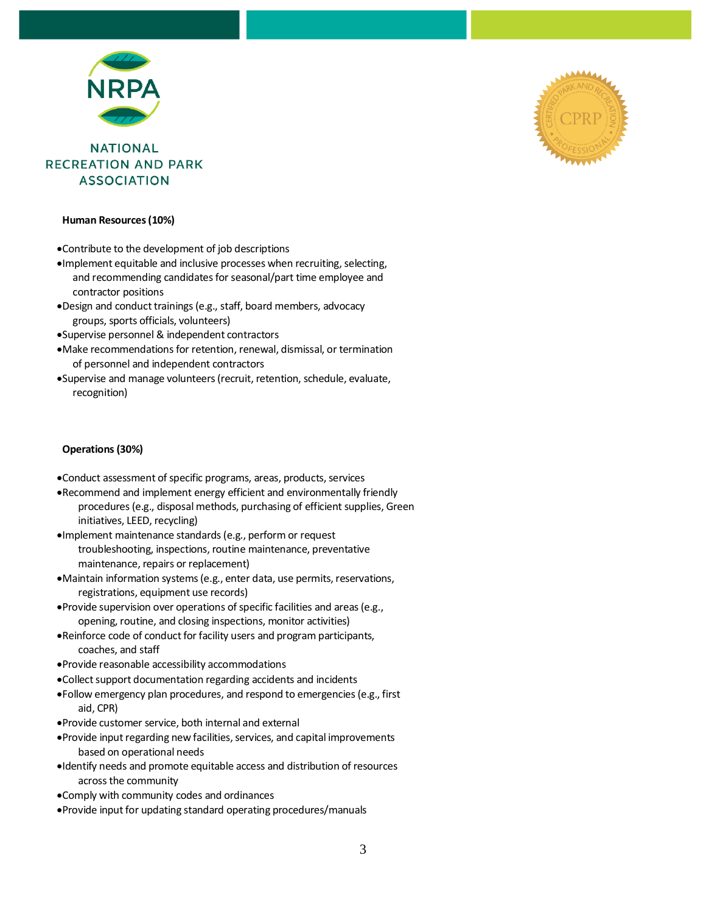

#### **Human Resources (10%)**

•Contribute to the development of job descriptions

- •Implement equitable and inclusive processes when recruiting, selecting, and recommending candidates for seasonal/part time employee and contractor positions
- •Design and conduct trainings (e.g., staff, board members, advocacy groups, sports officials, volunteers)
- •Supervise personnel & independent contractors
- •Make recommendations for retention, renewal, dismissal, or termination of personnel and independent contractors
- •Supervise and manage volunteers (recruit, retention, schedule, evaluate, recognition)

### **Operations (30%)**

- •Conduct assessment of specific programs, areas, products, services
- •Recommend and implement energy efficient and environmentally friendly procedures (e.g., disposal methods, purchasing of efficient supplies, Green initiatives, LEED, recycling)
- •Implement maintenance standards (e.g., perform or request troubleshooting, inspections, routine maintenance, preventative maintenance, repairs or replacement)
- •Maintain information systems (e.g., enter data, use permits, reservations, registrations, equipment use records)
- •Provide supervision over operations of specific facilities and areas (e.g., opening, routine, and closing inspections, monitor activities)
- •Reinforce code of conduct for facility users and program participants, coaches, and staff
- •Provide reasonable accessibility accommodations
- •Collect support documentation regarding accidents and incidents
- •Follow emergency plan procedures, and respond to emergencies (e.g., first aid, CPR)
- •Provide customer service, both internal and external
- •Provide input regarding new facilities, services, and capital improvements based on operational needs
- •Identify needs and promote equitable access and distribution of resources across the community
- •Comply with community codes and ordinances
- •Provide input for updating standard operating procedures/manuals